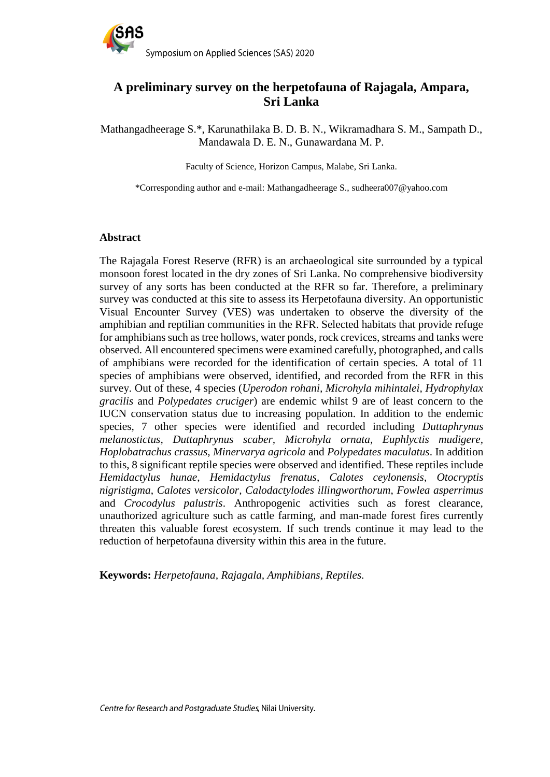

# **A preliminary survey on the herpetofauna of Rajagala, Ampara, Sri Lanka**

Mathangadheerage S.\*, Karunathilaka B. D. B. N., Wikramadhara S. M., Sampath D., Mandawala D. E. N., Gunawardana M. P.

Faculty of Science, Horizon Campus, Malabe, Sri Lanka.

\*Corresponding author and e-mail: Mathangadheerage S., sudheera007@yahoo.com

#### **Abstract**

The Rajagala Forest Reserve (RFR) is an archaeological site surrounded by a typical monsoon forest located in the dry zones of Sri Lanka. No comprehensive biodiversity survey of any sorts has been conducted at the RFR so far. Therefore, a preliminary survey was conducted at this site to assess its Herpetofauna diversity. An opportunistic Visual Encounter Survey (VES) was undertaken to observe the diversity of the amphibian and reptilian communities in the RFR. Selected habitats that provide refuge for amphibians such as tree hollows, water ponds, rock crevices, streams and tanks were observed. All encountered specimens were examined carefully, photographed, and calls of amphibians were recorded for the identification of certain species. A total of 11 species of amphibians were observed, identified, and recorded from the RFR in this survey. Out of these, 4 species (*Uperodon rohani, Microhyla mihintalei, Hydrophylax gracilis* and *Polypedates cruciger*) are endemic whilst 9 are of least concern to the IUCN conservation status due to increasing population. In addition to the endemic species, 7 other species were identified and recorded including *Duttaphrynus melanostictus, Duttaphrynus scaber, Microhyla ornata, Euphlyctis mudigere, Hoplobatrachus crassus, Minervarya agricola* and *Polypedates maculatus*. In addition to this, 8 significant reptile species were observed and identified. These reptiles include *Hemidactylus hunae*, *Hemidactylus frenatus*, *Calotes ceylonensis*, *Otocryptis nigristigma*, *Calotes versicolor, Calodactylodes illingworthorum*, *Fowlea asperrimus* and *Crocodylus palustris*. Anthropogenic activities such as forest clearance, unauthorized agriculture such as cattle farming, and man-made forest fires currently threaten this valuable forest ecosystem. If such trends continue it may lead to the reduction of herpetofauna diversity within this area in the future.

**Keywords:** *Herpetofauna, Rajagala, Amphibians, Reptiles.*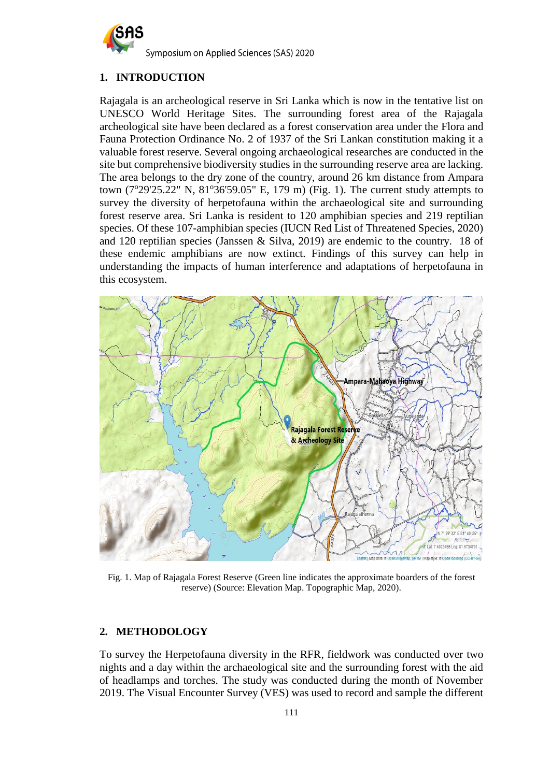

## **1. INTRODUCTION**

Rajagala is an archeological reserve in Sri Lanka which is now in the tentative list on UNESCO World Heritage Sites. The surrounding forest area of the Rajagala archeological site have been declared as a forest conservation area under the Flora and Fauna Protection Ordinance No. 2 of 1937 of the Sri Lankan constitution making it a valuable forest reserve. Several ongoing archaeological researches are conducted in the site but comprehensive biodiversity studies in the surrounding reserve area are lacking. The area belongs to the dry zone of the country, around 26 km distance from Ampara town  $(7^{\circ}29'25.22''$  N,  $81^{\circ}36'59.05''$  E, 179 m) (Fig. 1). The current study attempts to survey the diversity of herpetofauna within the archaeological site and surrounding forest reserve area. Sri Lanka is resident to 120 amphibian species and 219 reptilian species. Of these 107-amphibian species (IUCN Red List of Threatened Species, 2020) and 120 reptilian species (Janssen & Silva, 2019) are endemic to the country. 18 of these endemic amphibians are now extinct. Findings of this survey can help in understanding the impacts of human interference and adaptations of herpetofauna in this ecosystem.



Fig. 1. Map of Rajagala Forest Reserve (Green line indicates the approximate boarders of the forest reserve) (Source: Elevation Map. Topographic Map, 2020).

## **2. METHODOLOGY**

To survey the Herpetofauna diversity in the RFR, fieldwork was conducted over two nights and a day within the archaeological site and the surrounding forest with the aid of headlamps and torches. The study was conducted during the month of November 2019. The Visual Encounter Survey (VES) was used to record and sample the different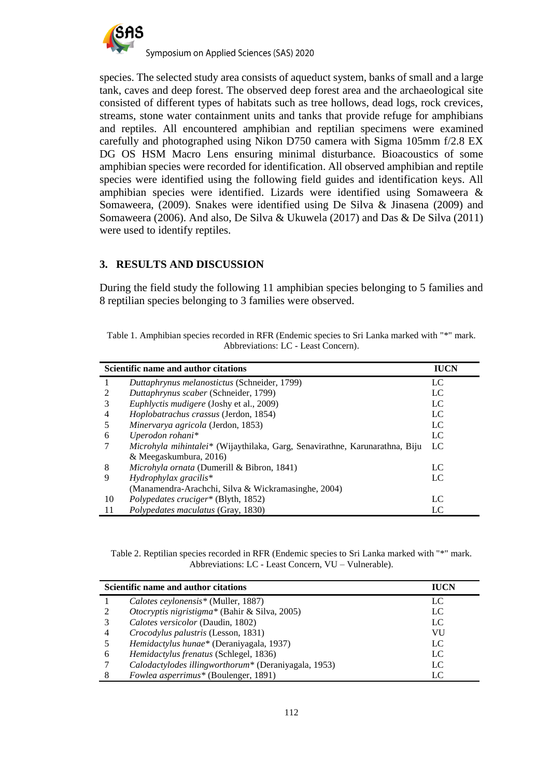

Symposium on Applied Sciences (SAS) 2020

species. The selected study area consists of aqueduct system, banks of small and a large tank, caves and deep forest. The observed deep forest area and the archaeological site consisted of different types of habitats such as tree hollows, dead logs, rock crevices, streams, stone water containment units and tanks that provide refuge for amphibians and reptiles. All encountered amphibian and reptilian specimens were examined carefully and photographed using Nikon D750 camera with Sigma 105mm f/2.8 EX DG OS HSM Macro Lens ensuring minimal disturbance. Bioacoustics of some amphibian species were recorded for identification. All observed amphibian and reptile species were identified using the following field guides and identification keys. All amphibian species were identified. Lizards were identified using Somaweera & Somaweera, (2009). Snakes were identified using De Silva & Jinasena (2009) and Somaweera (2006). And also, De Silva & Ukuwela (2017) and Das & De Silva (2011) were used to identify reptiles.

## **3. RESULTS AND DISCUSSION**

During the field study the following 11 amphibian species belonging to 5 families and 8 reptilian species belonging to 3 families were observed.

| Table 1. Amphibian species recorded in RFR (Endemic species to Sri Lanka marked with "*" mark. |  |
|------------------------------------------------------------------------------------------------|--|
| Abbreviations: LC - Least Concern).                                                            |  |

| Scientific name and author citations |                                                                                     | <b>IUCN</b> |
|--------------------------------------|-------------------------------------------------------------------------------------|-------------|
|                                      | Duttaphrynus melanostictus (Schneider, 1799)                                        | LC          |
|                                      | Duttaphrynus scaber (Schneider, 1799)                                               | LC          |
|                                      | <i>Euphlyctis mudigere</i> (Joshy et al., 2009)                                     | LC          |
| 4                                    | <i>Hoplobatrachus crassus</i> (Jerdon, 1854)                                        | LC          |
|                                      | Minervarya agricola (Jerdon, 1853)                                                  | LC          |
| 6                                    | Uperodon rohani*                                                                    | LC          |
|                                      | <i>Microhyla mihintalei</i> * (Wijaythilaka, Garg, Senavirathne, Karunarathna, Biju | LC          |
|                                      | & Meegaskumbura, 2016)                                                              |             |
| 8                                    | <i>Microhyla ornata</i> (Dumerill & Bibron, 1841)                                   | LC          |
| 9                                    | $Hydrophy lax\, gracilis*$                                                          | LC          |
|                                      | (Manamendra-Arachchi, Silva & Wickramasinghe, 2004)                                 |             |
| 10                                   | Polypedates cruciger* (Blyth, 1852)                                                 | LC          |
| 11                                   | Polypedates maculatus (Gray, 1830)                                                  | LC          |

Table 2. Reptilian species recorded in RFR (Endemic species to Sri Lanka marked with "\*" mark. Abbreviations: LC - Least Concern, VU – Vulnerable).

| Scientific name and author citations |                                                      | <b>IUCN</b> |
|--------------------------------------|------------------------------------------------------|-------------|
|                                      | Calotes ceylonensis* (Muller, 1887)                  | LC          |
|                                      | <i>Otocryptis nigristigma*</i> (Bahir & Silva, 2005) | LC          |
|                                      | Calotes versicolor (Daudin, 1802)                    | LC          |
|                                      | Crocodylus palustris (Lesson, 1831)                  | VU          |
|                                      | Hemidactylus hunae* (Deraniyagala, 1937)             | LC          |
| 6                                    | Hemidactylus frenatus (Schlegel, 1836)               | LC          |
|                                      | Calodactylodes illingworthorum* (Deraniyagala, 1953) | LC          |
|                                      | Fowlea asperrimus* (Boulenger, 1891)                 | LC          |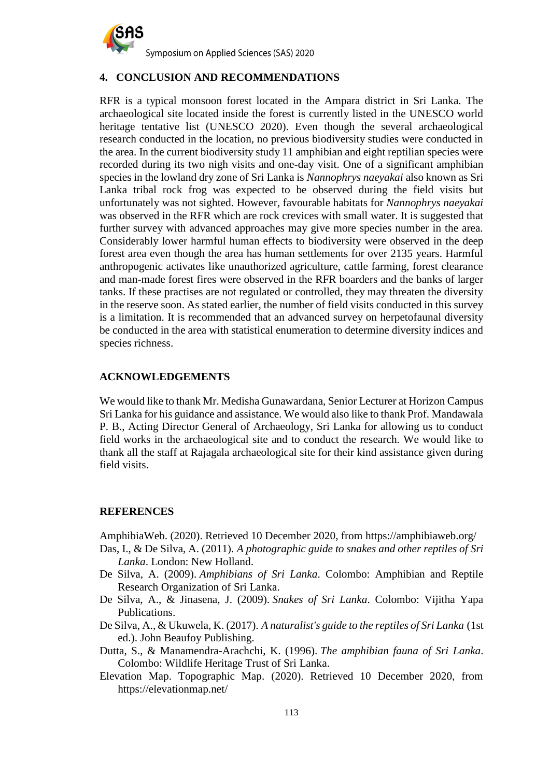

#### **4. CONCLUSION AND RECOMMENDATIONS**

RFR is a typical monsoon forest located in the Ampara district in Sri Lanka. The archaeological site located inside the forest is currently listed in the UNESCO world heritage tentative list (UNESCO 2020). Even though the several archaeological research conducted in the location, no previous biodiversity studies were conducted in the area. In the current biodiversity study 11 amphibian and eight reptilian species were recorded during its two nigh visits and one-day visit. One of a significant amphibian species in the lowland dry zone of Sri Lanka is *Nannophrys naeyakai* also known as Sri Lanka tribal rock frog was expected to be observed during the field visits but unfortunately was not sighted. However, favourable habitats for *Nannophrys naeyakai* was observed in the RFR which are rock crevices with small water. It is suggested that further survey with advanced approaches may give more species number in the area. Considerably lower harmful human effects to biodiversity were observed in the deep forest area even though the area has human settlements for over 2135 years. Harmful anthropogenic activates like unauthorized agriculture, cattle farming, forest clearance and man-made forest fires were observed in the RFR boarders and the banks of larger tanks. If these practises are not regulated or controlled, they may threaten the diversity in the reserve soon. As stated earlier, the number of field visits conducted in this survey is a limitation. It is recommended that an advanced survey on herpetofaunal diversity be conducted in the area with statistical enumeration to determine diversity indices and species richness.

#### **ACKNOWLEDGEMENTS**

We would like to thank Mr. Medisha Gunawardana, Senior Lecturer at Horizon Campus Sri Lanka for his guidance and assistance. We would also like to thank Prof. Mandawala P. B., Acting Director General of Archaeology, Sri Lanka for allowing us to conduct field works in the archaeological site and to conduct the research. We would like to thank all the staff at Rajagala archaeological site for their kind assistance given during field visits.

#### **REFERENCES**

AmphibiaWeb. (2020). Retrieved 10 December 2020, from<https://amphibiaweb.org/>

- Das, I., & De Silva, A. (2011). *A photographic guide to snakes and other reptiles of Sri Lanka*. London: New Holland.
- De Silva, A. (2009). *Amphibians of Sri Lanka*. Colombo: Amphibian and Reptile Research Organization of Sri Lanka.
- De Silva, A., & Jinasena, J. (2009). *Snakes of Sri Lanka*. Colombo: Vijitha Yapa Publications.
- De Silva, A., & Ukuwela, K. (2017). *A naturalist's guide to the reptiles of Sri Lanka* (1st ed.). John Beaufoy Publishing.
- Dutta, S., & Manamendra-Arachchi, K. (1996). *The amphibian fauna of Sri Lanka*. Colombo: Wildlife Heritage Trust of Sri Lanka.
- Elevation Map. Topographic Map. (2020). Retrieved 10 December 2020, from https://elevationmap.net/